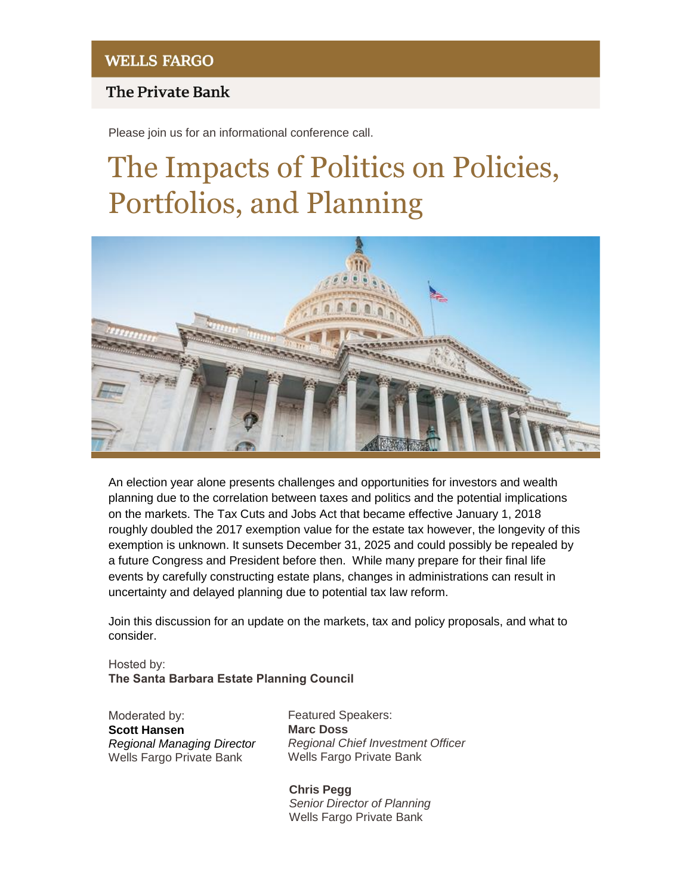## **The Private Bank**

Please join us for an informational conference call.

# The Impacts of Politics on Policies, Portfolios, and Planning



An election year alone presents challenges and opportunities for investors and wealth planning due to the correlation between taxes and politics and the potential implications on the markets. The Tax Cuts and Jobs Act that became effective January 1, 2018 roughly doubled the 2017 exemption value for the estate tax however, the longevity of this exemption is unknown. It sunsets December 31, 2025 and could possibly be repealed by a future Congress and President before then. While many prepare for their final life events by carefully constructing estate plans, changes in administrations can result in uncertainty and delayed planning due to potential tax law reform.

Join this discussion for an update on the markets, tax and policy proposals, and what to consider.

Hosted by: **The Santa Barbara Estate Planning Council**

Moderated by: **Scott Hansen** *Regional Managing Director* Wells Fargo Private Bank

*Regional Chief Investment Officer* Wells Fargo Private Bank Featured Speakers: **Marc Doss**

**Chris Pegg** *Senior Director of Planning* Wells Fargo Private Bank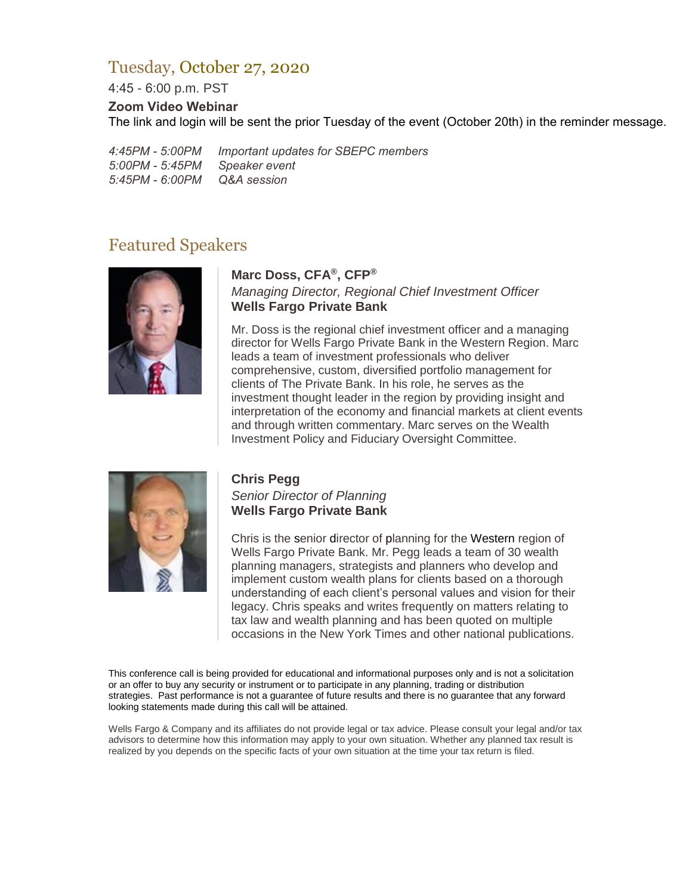## Tuesday, October 27, 2020

4:45 - 6:00 p.m. PST

#### **Zoom Video Webinar**

The link and login will be sent the prior Tuesday of the event (October 20th) in the reminder message.

*4:45PM - 5:00PM Important updates for SBEPC members 5:00PM - 5:45PM Speaker event 5:45PM - 6:00PM Q&A session*

## Featured Speakers



#### **Marc Doss, CFA®, CFP®**

*Managing Director, Regional Chief Investment Officer* **Wells Fargo Private Bank**

Mr. Doss is the regional chief investment officer and a managing director for Wells Fargo Private Bank in the Western Region. Marc leads a team of investment professionals who deliver comprehensive, custom, diversified portfolio management for clients of The Private Bank. In his role, he serves as the investment thought leader in the region by providing insight and interpretation of the economy and financial markets at client events and through written commentary. Marc serves on the Wealth Investment Policy and Fiduciary Oversight Committee.



### **Chris Pegg**

*Senior Director of Planning*  **Wells Fargo Private Bank**

Chris is the senior director of planning for the Western region of Wells Fargo Private Bank. Mr. Pegg leads a team of 30 wealth planning managers, strategists and planners who develop and implement custom wealth plans for clients based on a thorough understanding of each client's personal values and vision for their legacy. Chris speaks and writes frequently on matters relating to tax law and wealth planning and has been quoted on multiple occasions in the New York Times and other national publications.

This conference call is being provided for educational and informational purposes only and is not a solicitation or an offer to buy any security or instrument or to participate in any planning, trading or distribution strategies. Past performance is not a guarantee of future results and there is no guarantee that any forward looking statements made during this call will be attained.

Wells Fargo & Company and its affiliates do not provide legal or tax advice. Please consult your legal and/or tax advisors to determine how this information may apply to your own situation. Whether any planned tax result is realized by you depends on the specific facts of your own situation at the time your tax return is filed.